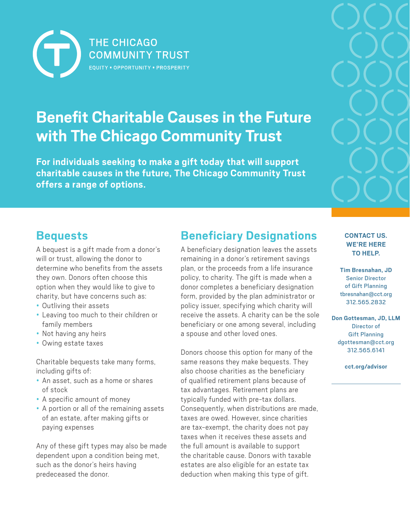

# **Benefit Charitable Causes in the Future with The Chicago Community Trust**

**For individuals seeking to make a gift today that will support charitable causes in the future, The Chicago Community Trust offers a range of options.**



## **Bequests**

A bequest is a gift made from a donor's will or trust, allowing the donor to determine who benefits from the assets they own. Donors often choose this option when they would like to give to charity, but have concerns such as:

- Outliving their assets
- Leaving too much to their children or family members
- Not having any heirs
- Owing estate taxes

Charitable bequests take many forms, including gifts of:

- An asset, such as a home or shares of stock
- A specific amount of money
- A portion or all of the remaining assets of an estate, after making gifts or paying expenses

Any of these gift types may also be made dependent upon a condition being met, such as the donor's heirs having predeceased the donor.

## **Beneficiary Designations**

A beneficiary designation leaves the assets remaining in a donor's retirement savings plan, or the proceeds from a life insurance policy, to charity. The gift is made when a donor completes a beneficiary designation form, provided by the plan administrator or policy issuer, specifying which charity will receive the assets. A charity can be the sole beneficiary or one among several, including a spouse and other loved ones.

Donors choose this option for many of the same reasons they make bequests. They also choose charities as the beneficiary of qualified retirement plans because of tax advantages. Retirement plans are typically funded with pre-tax dollars. Consequently, when distributions are made, taxes are owed. However, since charities are tax-exempt, the charity does not pay taxes when it receives these assets and the full amount is available to support the charitable cause. Donors with taxable estates are also eligible for an estate tax deduction when making this type of gift.

#### **CONTACT US. WE'RE HERE TO HELP.**

**Tim Bresnahan, JD** Senior Director of Gift Planning tbresnahan@cct.org 312.565.2832

**Don Gottesman, JD, LLM** Director of Gift Planning [dgottesman@cct.org](mailto:dgottesman@cct.org) 312.565.6141

**cct.org/advisor**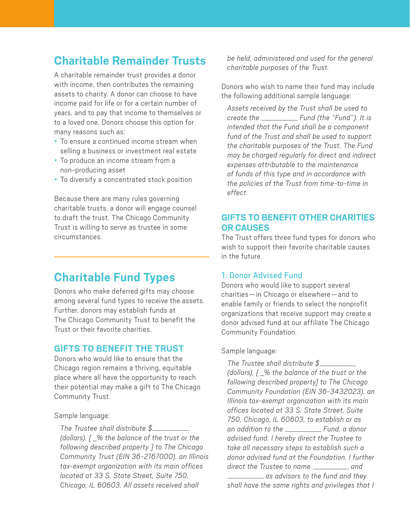## **Charitable Remainder Trusts**

A charitable remainder trust provides a donor with income, then contributes the remaining assets to charity. A donor can choose to have income paid for life or for a certain number of years, and to pay that income to themselves or to a loved one. Donors choose this option for many reasons such as:

- To ensure a continued income stream when selling a business or investment real estate
- To produce an income stream from a non-producing asset
- To diversify a concentrated stock position

Because there are many rules governing charitable trusts, a donor will engage counsel to draft the trust. The Chicago Community Trust is willing to serve as trustee in some circumstances.

## **Charitable Fund Types**

Donors who make deferred gifts may choose among several fund types to receive the assets. Further, donors may establish funds at The Chicago Community Trust to benefit the Trust or their favorite charities.

## **GIFTS TO BENEFIT THE TRUST**

Donors who would like to ensure that the Chicago region remains a thriving, equitable place where all have the opportunity to reach their potential may make a gift to The Chicago Community Trust.

Sample language:

*The Trustee shall distribute \$ (dollars), [ \_% the balance of the trust or the following described property ] to The Chicago Community Trust (EIN 36-2167000), an Illinois tax-exempt organization with its main offices located at 33 S. State Street, Suite 750, Chicago, IL 60603. All assets received shall* 

*be held, administered and used for the general charitable purposes of the Trust.*

Donors who wish to name their fund may include the following additional sample language:

*Assets received by the Trust shall be used to create the* \_\_\_\_\_\_\_\_\_\_\_\_\_\_ Fund (the "Fund"). It is *intended that the Fund shall be a component fund of the Trust and shall be used to support the charitable purposes of the Trust. The Fund may be charged regularly for direct and indirect expenses attributable to the maintenance of funds of this type and in accordance with the policies of the Trust from time-to-time in effect.*

## **GIFTS TO BENEFIT OTHER CHARITIES OR CAUSES**

The Trust offers three fund types for donors who wish to support their favorite charitable causes in the future.

## 1. Donor Advised Fund

Donors who would like to support several charities—in Chicago or elsewhere—and to enable family or friends to select the nonprofit organizations that receive support may create a donor advised fund at our affiliate The Chicago Community Foundation.

### Sample language:

*The Trustee shall distribute \$ (dollars), [ \_% the balance of the trust or the following described property] to The Chicago Community Foundation (EIN 36-3432023), an Illinois tax-exempt organization with its main offices located at 33 S. State Street, Suite 750, Chicago, IL 60603, to establish or as an addition to the \_\_\_\_\_\_\_\_\_\_\_\_\_\_ Fund, a donor advised fund. I hereby direct the Trustee to take all necessary steps to establish such a donor advised fund at the Foundation. I further*  direct the Trustee to name \_\_\_\_\_\_\_\_\_\_\_ and

 *as advisors to the fund and they shall have the same rights and privileges that I*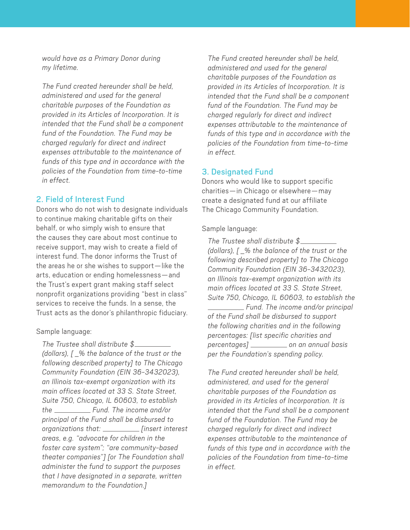*would have as a Primary Donor during my lifetime.*

*The Fund created hereunder shall be held, administered and used for the general charitable purposes of the Foundation as provided in its Articles of Incorporation. It is intended that the Fund shall be a component fund of the Foundation. The Fund may be charged regularly for direct and indirect expenses attributable to the maintenance of funds of this type and in accordance with the policies of the Foundation from time-to-time in effect.*

### 2. Field of Interest Fund

Donors who do not wish to designate individuals to continue making charitable gifts on their behalf, or who simply wish to ensure that the causes they care about most continue to receive support, may wish to create a field of interest fund. The donor informs the Trust of the areas he or she wishes to support—like the arts, education or ending homelessness—and the Trust's expert grant making staff select nonprofit organizations providing "best in class" services to receive the funds. In a sense, the Trust acts as the donor's philanthropic fiduciary.

Sample language:

*The Trustee shall distribute \$ (dollars), [ \_% the balance of the trust or the following described property] to The Chicago Community Foundation (EIN 36-3432023), an Illinois tax-exempt organization with its main offices located at 33 S. State Street, Suite 750, Chicago, IL 60603, to establish the Fund. The income and/or principal of the Fund shall be disbursed to organizations that: [insert interest areas, e.g. "advocate for children in the foster care system"; "are community-based theater companies"] [or The Foundation shall administer the fund to support the purposes that I have designated in a separate, written memorandum to the Foundation.]*

*The Fund created hereunder shall be held, administered and used for the general charitable purposes of the Foundation as provided in its Articles of Incorporation. It is intended that the Fund shall be a component fund of the Foundation. The Fund may be charged regularly for direct and indirect expenses attributable to the maintenance of funds of this type and in accordance with the policies of the Foundation from time-to-time in effect.*

#### 3. Designated Fund

Donors who would like to support specific charities—in Chicago or elsewhere—may create a designated fund at our affiliate The Chicago Community Foundation.

#### Sample language:

*The Trustee shall distribute \$ (dollars), [ \_% the balance of the trust or the following described property] to The Chicago Community Foundation (EIN 36-3432023), an Illinois tax-exempt organization with its main offices located at 33 S. State Street, Suite 750, Chicago, IL 60603, to establish the Fund. The income and/or principal of the Fund shall be disbursed to support the following charities and in the following percentages: [list specific charities and percentages] on an annual basis per the Foundation's spending policy.*

*The Fund created hereunder shall be held, administered, and used for the general charitable purposes of the Foundation as provided in its Articles of Incorporation. It is intended that the Fund shall be a component fund of the Foundation. The Fund may be charged regularly for direct and indirect expenses attributable to the maintenance of funds of this type and in accordance with the policies of the Foundation from time-to-time in effect.*